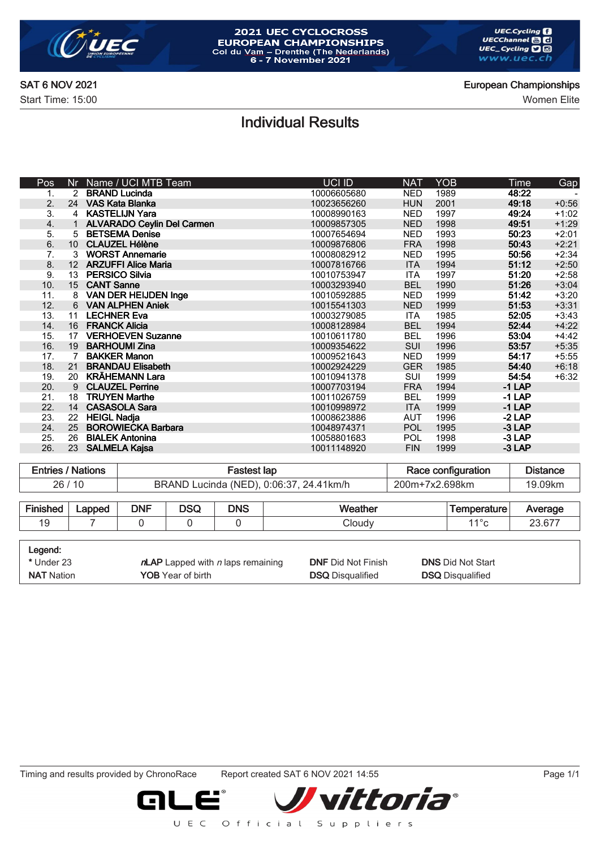

# 2021 UEC CYCLOCROSS **EUROPEAN CHAMPIONSHIPS**<br>Col du Vam – Drenthe (The Nederlands)<br>6 - 7 November 2021

SAT 6 NOV 2021 **European Championships** 

Start Time: 15:00 Women Elite

## Individual Results

| Pos                | Nr. | Name / UCI MTB Team               | <b>UCI ID</b> | <b>NAT</b> | <b>YOB</b> | Time     | Gap     |
|--------------------|-----|-----------------------------------|---------------|------------|------------|----------|---------|
| 1.                 | 2   | <b>BRAND Lucinda</b>              | 10006605680   | <b>NED</b> | 1989       | 48:22    |         |
| 2.                 | 24  | VAS Kata Blanka                   | 10023656260   | <b>HUN</b> | 2001       | 49:18    | $+0:56$ |
| 3.                 | 4   | <b>KASTELIJN Yara</b>             | 10008990163   | <b>NED</b> | 1997       | 49:24    | $+1:02$ |
| $\boldsymbol{4}$ . |     | <b>ALVARADO Ceylin Del Carmen</b> | 10009857305   | <b>NED</b> | 1998       | 49:51    | $+1:29$ |
| 5.                 | 5   | <b>BETSEMA Denise</b>             | 10007654694   | <b>NED</b> | 1993       | 50:23    | $+2:01$ |
| 6.                 | 10  | <b>CLAUZEL Hélène</b>             | 10009876806   | <b>FRA</b> | 1998       | 50:43    | $+2:21$ |
| 7.                 | 3   | <b>WORST Annemarie</b>            | 10008082912   | <b>NED</b> | 1995       | 50:56    | $+2:34$ |
| 8.                 | 12  | <b>ARZUFFI Alice Maria</b>        | 10007816766   | <b>ITA</b> | 1994       | 51:12    | $+2:50$ |
| 9.                 | 13  | <b>PERSICO Silvia</b>             | 10010753947   | <b>ITA</b> | 1997       | 51:20    | $+2:58$ |
| 10.                | 15  | <b>CANT Sanne</b>                 | 10003293940   | <b>BEL</b> | 1990       | 51:26    | $+3:04$ |
| 11.                | 8   | <b>VAN DER HEIJDEN Inge</b>       | 10010592885   | <b>NED</b> | 1999       | 51:42    | $+3:20$ |
| 12.                | 6   | <b>VAN ALPHEN Aniek</b>           | 10015541303   | <b>NED</b> | 1999       | 51:53    | $+3:31$ |
| 13.                | 11  | <b>LECHNER Eva</b>                | 10003279085   | ITA.       | 1985       | 52:05    | $+3:43$ |
| 14.                | 16  | <b>FRANCK Alicia</b>              | 10008128984   | <b>BEL</b> | 1994       | 52:44    | $+4:22$ |
| 15.                | 17  | <b>VERHOEVEN Suzanne</b>          | 10010611780   | <b>BEL</b> | 1996       | 53:04    | $+4:42$ |
| 16.                | 19  | <b>BARHOUMI Zina</b>              | 10009354622   | <b>SUI</b> | 1996       | 53:57    | $+5:35$ |
| 17.                |     | <b>BAKKER Manon</b>               | 10009521643   | <b>NED</b> | 1999       | 54:17    | $+5:55$ |
| 18.                | 21  | <b>BRANDAU Elisabeth</b>          | 10002924229   | <b>GER</b> | 1985       | 54:40    | $+6:18$ |
| 19.                | 20  | <b>KRÄHEMANN Lara</b>             | 10010941378   | <b>SUI</b> | 1999       | 54:54    | $+6:32$ |
| 20.                | 9   | <b>CLAUZEL Perrine</b>            | 10007703194   | <b>FRA</b> | 1994       | $-1$ LAP |         |
| 21.                | 18  | <b>TRUYEN Marthe</b>              | 10011026759   | <b>BEL</b> | 1999       | $-1$ LAP |         |
| 22.                | 14  | <b>CASASOLA Sara</b>              | 10010998972   | <b>ITA</b> | 1999       | $-1$ LAP |         |
| 23.                | 22  | <b>HEIGL Nadja</b>                | 10008623886   | <b>AUT</b> | 1996       | $-2$ LAP |         |
| 24.                | 25  | <b>BOROWIECKA Barbara</b>         | 10048974371   | <b>POL</b> | 1995       | $-3$ LAP |         |
| 25.                | 26  | <b>BIALEK Antonina</b>            | 10058801683   | <b>POL</b> | 1998       | $-3$ LAP |         |
| 26.                | 23  | <b>SALMELA Kajsa</b>              | 10011148920   | <b>FIN</b> | 1999       | $-3$ LAP |         |
|                    |     |                                   |               |            |            |          |         |

| Entries / Nations | astest lap                                          | Race configuration | <b>Distance</b> |
|-------------------|-----------------------------------------------------|--------------------|-----------------|
| 26/10             | Lucinda (NED), 0:06:37, 24.41km/h<br><b>BRAND L</b> | 200m+7x2.698km     | 09km.<br>Ņ      |

| Einichod | Lapped | <b>DNF</b> | <b>DOO</b><br>שטע | <b>DNS</b> | Weather | emperature | Average     |
|----------|--------|------------|-------------------|------------|---------|------------|-------------|
| . ت      |        |            |                   |            | Cloudv  | 1.40       | $23.67^{-}$ |
|          |        |            |                   |            |         |            |             |

| Legend:           |                                             |                           |                          |
|-------------------|---------------------------------------------|---------------------------|--------------------------|
| * Under 23        | $n$ LAP Lapped with <i>n</i> laps remaining | <b>DNF</b> Did Not Finish | <b>DNS Did Not Start</b> |
| <b>NAT</b> Nation | <b>YOB</b> Year of birth                    | <b>DSQ</b> Disqualified   | <b>DSQ</b> Disqualified  |

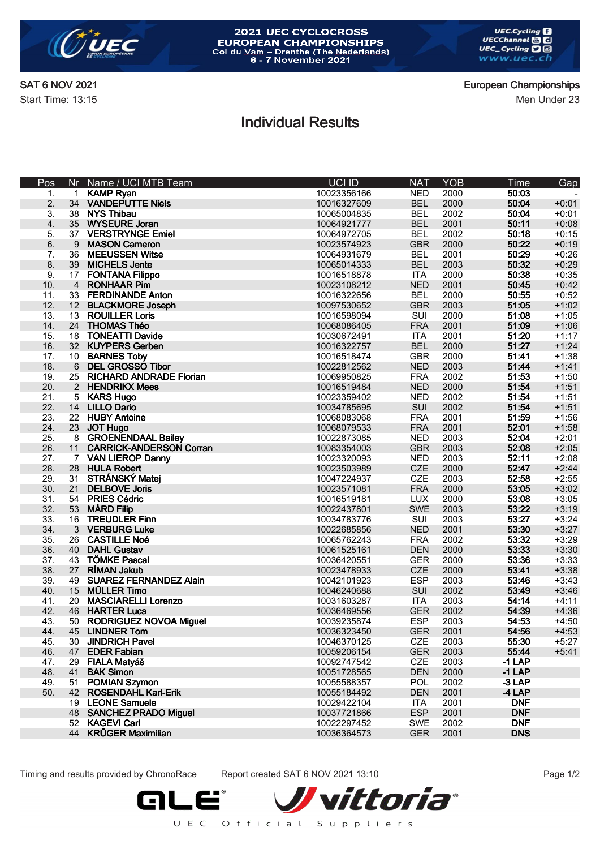

# 2021 UEC CYCLOCROSS **EUROPEAN CHAMPIONSHIPS**<br>Col du Vam – Drenthe (The Nederlands)<br>6 - 7 November 2021

Start Time: 13:15 Men Under 23

#### SAT 6 NOV 2021 **European Championships**

## Individual Results

| Pos | Nr             | Name / UCI MTB Team            | UCI ID      | <b>NAT</b> | <b>YOB</b> | Time       | Gap     |
|-----|----------------|--------------------------------|-------------|------------|------------|------------|---------|
| 1.  | $\mathbf{1}$   | <b>KAMP Ryan</b>               | 10023356166 | <b>NED</b> | 2000       | 50:03      |         |
| 2.  | 34             | <b>VANDEPUTTE Niels</b>        | 10016327609 | <b>BEL</b> | 2000       | 50:04      | $+0:01$ |
| 3.  | 38             | <b>NYS Thibau</b>              | 10065004835 | <b>BEL</b> | 2002       | 50:04      | $+0:01$ |
| 4.  | 35             | <b>WYSEURE Joran</b>           | 10064921777 | <b>BEL</b> | 2001       | 50:11      | $+0:08$ |
| 5.  |                | 37 VERSTRYNGE Emiel            | 10064972705 | <b>BEL</b> | 2002       | 50:18      | $+0:15$ |
| 6.  | 9              | <b>MASON Cameron</b>           | 10023574923 | <b>GBR</b> | 2000       | 50:22      | $+0:19$ |
| 7.  | 36             | <b>MEEUSSEN Witse</b>          | 10064931679 | <b>BEL</b> | 2001       | 50:29      | $+0:26$ |
| 8.  |                | 39 MICHELS Jente               | 10065014333 | <b>BEL</b> | 2003       | 50:32      | $+0:29$ |
| 9.  | 17             | <b>FONTANA Filippo</b>         | 10016518878 | <b>ITA</b> | 2000       | 50:38      | $+0:35$ |
| 10. | $\overline{4}$ | <b>RONHAAR Pim</b>             | 10023108212 | <b>NED</b> | 2001       | 50:45      | $+0:42$ |
| 11. | 33             | <b>FERDINANDE Anton</b>        | 10016322656 | <b>BEL</b> | 2000       | 50:55      | $+0:52$ |
| 12. |                | 12 BLACKMORE Joseph            | 10097530652 | <b>GBR</b> | 2003       | 51:05      | $+1:02$ |
| 13. | 13             | <b>ROUILLER Loris</b>          | 10016598094 | SUI        | 2000       | 51:08      | $+1:05$ |
| 14. |                | 24 THOMAS Théo                 | 10068086405 | <b>FRA</b> | 2001       | 51:09      | $+1:06$ |
| 15. | 18             | <b>TONEATTI Davide</b>         | 10030672491 | <b>ITA</b> | 2001       | 51:20      | $+1:17$ |
| 16. |                | 32 KUYPERS Gerben              | 10016322757 | <b>BEL</b> | 2000       | 51:27      | $+1:24$ |
| 17. |                | 10 BARNES Toby                 | 10016518474 | <b>GBR</b> | 2000       | 51:41      | $+1:38$ |
| 18. | 6              | <b>DEL GROSSO Tibor</b>        | 10022812562 | <b>NED</b> | 2003       | 51:44      | $+1:41$ |
| 19. | 25             | <b>RICHARD ANDRADE Florian</b> | 10069950825 | <b>FRA</b> | 2002       | 51:53      | $+1:50$ |
| 20. |                | 2 HENDRIKX Mees                | 10016519484 | <b>NED</b> | 2000       | 51:54      | $+1:51$ |
| 21. | 5              | <b>KARS Hugo</b>               | 10023359402 | <b>NED</b> | 2002       | 51:54      | $+1:51$ |
| 22. |                | 14 LILLO Dario                 | 10034785695 | SUI        | 2002       | 51:54      | $+1:51$ |
| 23. | 22             | <b>HUBY Antoine</b>            | 10068083068 | <b>FRA</b> | 2001       | 51:59      | $+1:56$ |
| 24. | 23             | <b>JOT Hugo</b>                | 10068079533 | <b>FRA</b> | 2001       | 52:01      | $+1:58$ |
| 25. |                | 8 GROENENDAAL Bailey           | 10022873085 | <b>NED</b> | 2003       | 52:04      | $+2:01$ |
| 26. |                | 11 CARRICK-ANDERSON Corran     | 10083354003 | <b>GBR</b> | 2003       | 52:08      | $+2:05$ |
| 27. |                | 7 VAN LIEROP Danny             | 10023320093 | <b>NED</b> | 2003       | 52:11      | $+2:08$ |
| 28. |                | 28 HULA Robert                 | 10023503989 | <b>CZE</b> | 2000       | 52:47      | $+2:44$ |
| 29. | 31             | STRÁNSKÝ Matej                 | 10047224937 | <b>CZE</b> | 2003       | 52:58      | $+2:55$ |
| 30. | 21             | <b>DELBOVE Joris</b>           | 10023571081 | <b>FRA</b> | 2000       | 53:05      | $+3:02$ |
| 31. | 54             | <b>PRIES Cédric</b>            | 10016519181 | <b>LUX</b> | 2000       | 53:08      | $+3:05$ |
| 32. | 53             | <b>MÅRD Filip</b>              | 10022437801 | <b>SWE</b> | 2003       | 53:22      | $+3:19$ |
| 33. | 16             | <b>TREUDLER Finn</b>           | 10034783776 | SUI        | 2003       | 53:27      | $+3:24$ |
| 34. |                | 3 VERBURG Luke                 | 10022685856 | <b>NED</b> | 2001       | 53:30      | $+3:27$ |
| 35. | 26             | <b>CASTILLE Noé</b>            | 10065762243 | <b>FRA</b> | 2002       | 53:32      | $+3:29$ |
| 36. | 40             | <b>DAHL Gustav</b>             | 10061525161 | <b>DEN</b> | 2000       | 53:33      | $+3:30$ |
| 37. | 43             | <b>TÖMKE Pascal</b>            | 10036420551 | <b>GER</b> | 2000       | 53:36      | $+3:33$ |
| 38. | 27             | <b>RÍMAN Jakub</b>             | 10023478933 | <b>CZE</b> | 2000       | 53:41      | $+3:38$ |
| 39. | 49             | <b>SUAREZ FERNANDEZ Alain</b>  | 10042101923 | <b>ESP</b> | 2003       | 53:46      | $+3:43$ |
| 40. | 15             | <b>MÜLLER Timo</b>             | 10046240688 | SUI        | 2002       | 53:49      | $+3:46$ |
| 41. | 20             | <b>MASCIARELLI Lorenzo</b>     | 10031603287 | <b>ITA</b> | 2003       | 54:14      | $+4:11$ |
| 42. | 46             | <b>HARTER Luca</b>             | 10036469556 | <b>GER</b> | 2002       | 54:39      | $+4:36$ |
| 43. |                | 50 RODRIGUEZ NOVOA Miguel      | 10039235874 | <b>ESP</b> | 2003       | 54:53      | $+4:50$ |
| 44. | 45             | <b>LINDNER Tom</b>             | 10036323450 | <b>GER</b> | 2001       | 54:56      | $+4:53$ |
| 45. | 30             | <b>JINDRICH Pavel</b>          | 10046370125 | CZE        | 2003       | 55:30      | $+5:27$ |
| 46. | 47             | <b>EDER Fabian</b>             | 10059206154 | <b>GER</b> | 2003       | 55:44      | $+5:41$ |
| 47. | 29             | FIALA Matyáš                   | 10092747542 | <b>CZE</b> | 2003       | $-1$ LAP   |         |
| 48. | 41             | <b>BAK Simon</b>               | 10051728565 | <b>DEN</b> | 2000       | $-1$ LAP   |         |
| 49. | 51             | <b>POMIAN Szymon</b>           | 10055588357 | <b>POL</b> | 2002       | -3 LAP     |         |
| 50. |                | 42 ROSENDAHL Karl-Erik         | 10055184492 | <b>DEN</b> | 2001       | $-4$ LAP   |         |
|     |                | 19 LEONE Samuele               | 10029422104 | ITA        | 2001       | <b>DNF</b> |         |
|     |                | 48 SANCHEZ PRADO Miguel        | 10037721866 | <b>ESP</b> | 2001       | <b>DNF</b> |         |
|     |                | 52 KAGEVI Carl                 | 10022297452 | <b>SWE</b> | 2002       | <b>DNF</b> |         |
|     |                | 44 KRÜGER Maximilian           | 10036364573 | <b>GER</b> | 2001       | <b>DNS</b> |         |
|     |                |                                |             |            |            |            |         |

Timing and results provided by ChronoRace Report created SAT 6 NOV 2021 13:10 Page 1/2

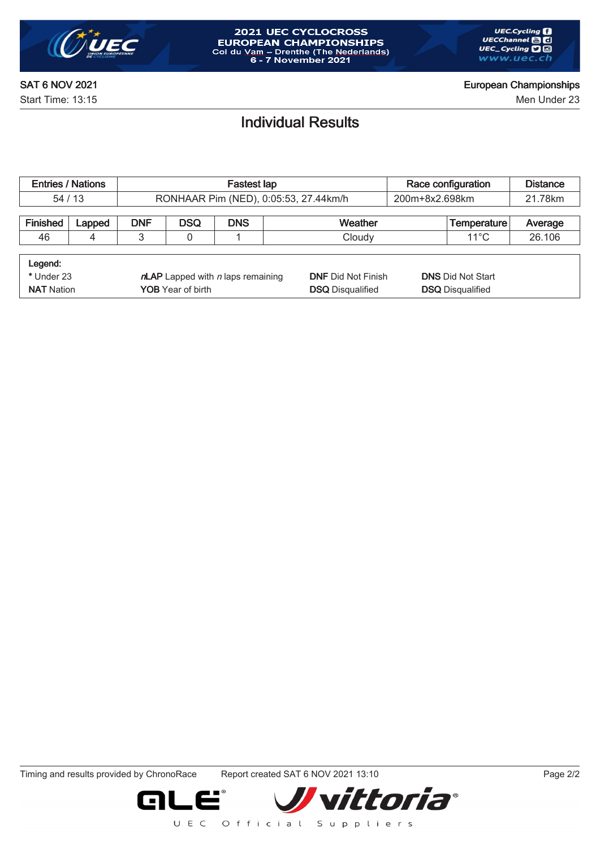

Start Time: 13:15 Men Under 23

### Individual Results

| <b>Entries / Nations</b> |        |                                        |            | <b>Fastest lap</b> |                                       | Race configuration       | <b>Distance</b>    |         |
|--------------------------|--------|----------------------------------------|------------|--------------------|---------------------------------------|--------------------------|--------------------|---------|
| 54/13                    |        |                                        |            |                    | RONHAAR Pim (NED), 0:05:53, 27.44km/h | 200m+8x2.698km           |                    | 21.78km |
|                          |        |                                        |            |                    |                                       |                          |                    |         |
| Finished                 | Lapped | <b>DNF</b>                             | <b>DSQ</b> | <b>DNS</b>         | Weather                               |                          | <b>Temperature</b> | Average |
| 46                       | 4      | 3                                      | 0          |                    | Cloudy                                |                          |                    | 26.106  |
|                          |        |                                        |            |                    |                                       |                          |                    |         |
| Legend:                  |        |                                        |            |                    |                                       |                          |                    |         |
| * Under 23               |        | $n$ LAP Lapped with $n$ laps remaining |            |                    | <b>DNF Did Not Finish</b>             | <b>DNS Did Not Start</b> |                    |         |
| <b>NAT Nation</b>        |        | <b>YOB</b> Year of birth               |            |                    | <b>DSQ</b> Disqualified               | <b>DSQ</b> Disqualified  |                    |         |

Timing and results provided by ChronoRace Report created SAT 6 NOV 2021 13:10 Page 2/2

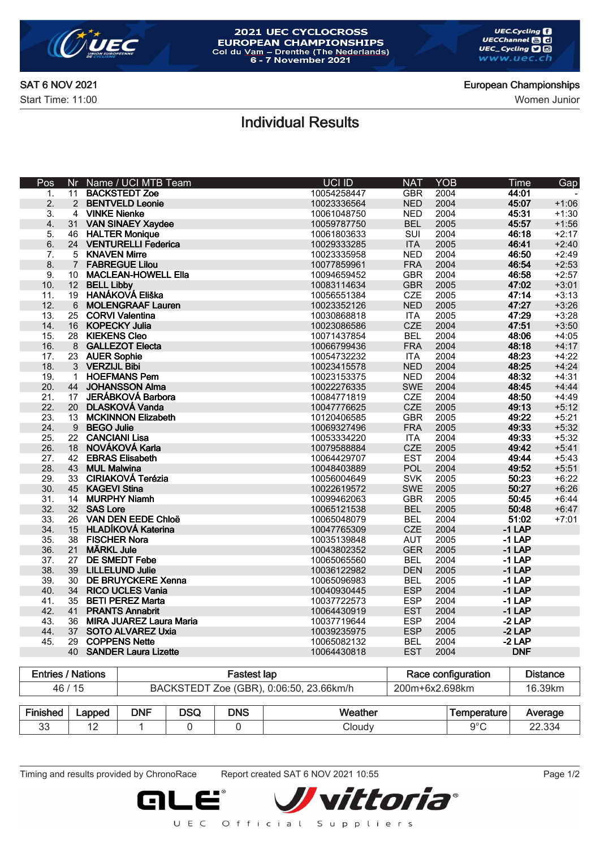

# 2021 UEC CYCLOCROSS **EUROPEAN CHAMPIONSHIPS**<br>Col du Vam – Drenthe (The Nederlands)<br>6 - 7 November 2021

SAT 6 NOV 2021 **European Championships** 

Start Time: 11:00 Women Junior

### Individual Results

| Pos | Nr              | Name / UCI MTB Team            | UCI ID      | <b>NAT</b> | YOB  | Time       | Gap     |
|-----|-----------------|--------------------------------|-------------|------------|------|------------|---------|
| 1.  | 11              | <b>BACKSTEDT Zoe</b>           | 10054258447 | <b>GBR</b> | 2004 | 44:01      |         |
| 2.  | $\overline{2}$  | <b>BENTVELD Leonie</b>         | 10023336564 | <b>NED</b> | 2004 | 45:07      | $+1:06$ |
| 3.  | $\overline{4}$  | <b>VINKE Nienke</b>            | 10061048750 | <b>NED</b> | 2004 | 45:31      | $+1:30$ |
| 4.  | 31              | <b>VAN SINAEY Xaydee</b>       | 10059787750 | <b>BEL</b> | 2005 | 45:57      | $+1:56$ |
| 5.  |                 | 46 HALTER Monique              | 10061803633 | SUI        | 2004 | 46:18      | $+2:17$ |
| 6.  |                 | 24 VENTURELLI Federica         | 10029333285 | <b>ITA</b> | 2005 | 46:41      | $+2:40$ |
| 7.  | 5               | <b>KNAVEN Mirre</b>            | 10023335958 | <b>NED</b> | 2004 | 46:50      | $+2:49$ |
| 8.  | $\overline{7}$  | <b>FABREGUE Lilou</b>          | 10077859961 | <b>FRA</b> | 2004 | 46:54      | $+2:53$ |
| 9.  | 10 <sup>°</sup> | <b>MACLEAN-HOWELL Ella</b>     | 10094659452 | <b>GBR</b> | 2004 | 46:58      | $+2:57$ |
| 10. | 12 <sup>7</sup> | <b>BELL Libby</b>              | 10083114634 | <b>GBR</b> | 2005 | 47:02      | $+3:01$ |
| 11. | 19              | HANÁKOVÁ Eliška                | 10056551384 | <b>CZE</b> | 2005 | 47:14      | $+3:13$ |
| 12. | $6\phantom{1}$  | <b>MOLENGRAAF Lauren</b>       | 10023352126 | <b>NED</b> | 2005 | 47:27      | $+3:26$ |
| 13. | 25              | <b>CORVI Valentina</b>         | 10030868818 | <b>ITA</b> | 2005 | 47:29      | $+3:28$ |
| 14. | 16              | <b>KOPECKY Julia</b>           | 10023086586 | <b>CZE</b> | 2004 | 47:51      | $+3:50$ |
| 15. | 28              | <b>KIEKENS Cleo</b>            | 10071437854 | <b>BEL</b> | 2004 | 48:06      | $+4:05$ |
| 16. |                 | 8 GALLEZOT Electa              | 10066799436 | <b>FRA</b> | 2004 | 48:18      | $+4:17$ |
| 17. | 23              | <b>AUER Sophie</b>             | 10054732232 | <b>ITA</b> | 2004 | 48:23      | $+4:22$ |
| 18. |                 | 3 VERZIJL Bibi                 | 10023415578 | <b>NED</b> | 2004 | 48:25      | $+4:24$ |
| 19. | $\mathbf{1}$    | <b>HOEFMANS Pem</b>            | 10023153375 | <b>NED</b> | 2004 | 48:32      | $+4:31$ |
| 20. | 44              | <b>JOHANSSON Alma</b>          | 10022276335 | <b>SWE</b> | 2004 | 48:45      | $+4:44$ |
| 21. | 17              | JERÁBKOVÁ Barbora              | 10084771819 | <b>CZE</b> | 2004 | 48:50      | $+4:49$ |
| 22. | 20              | <b>DLASKOVÁ Vanda</b>          | 10047776625 | <b>CZE</b> | 2005 | 49:13      | $+5:12$ |
| 23. | 13              | <b>MCKINNON Elizabeth</b>      | 10120406585 | <b>GBR</b> | 2005 | 49:22      | $+5:21$ |
| 24. | 9               | <b>BEGO Julie</b>              | 10069327496 | <b>FRA</b> | 2005 | 49:33      | $+5:32$ |
| 25. | 22              | <b>CANCIANI Lisa</b>           | 10053334220 | <b>ITA</b> | 2004 | 49:33      | $+5:32$ |
| 26. | 18              | NOVÁKOVÁ Karla                 | 10079588884 | <b>CZE</b> | 2005 | 49:42      | $+5:41$ |
| 27. | 42              | <b>EBRAS Elisabeth</b>         | 10064429707 | <b>EST</b> | 2004 | 49:44      | $+5:43$ |
| 28. | 43              | <b>MUL Malwina</b>             | 10048403889 | POL        | 2004 | 49:52      | $+5:51$ |
| 29. | 33              | <b>CIRIAKOVÁ Terézia</b>       | 10056004649 | <b>SVK</b> | 2005 | 50:23      | $+6:22$ |
| 30. | 45              | <b>KAGEVI Stina</b>            | 10022619572 | <b>SWE</b> | 2005 | 50:27      | $+6:26$ |
| 31. | 14              | <b>MURPHY Niamh</b>            | 10099462063 | <b>GBR</b> | 2005 | 50:45      | $+6:44$ |
| 32. | 32 <sup>2</sup> | <b>SAS Lore</b>                | 10065121538 | <b>BEL</b> | 2005 | 50:48      | $+6:47$ |
| 33. | 26              | <b>VAN DEN EEDE Chloë</b>      | 10065048079 | <b>BEL</b> | 2004 | 51:02      | $+7:01$ |
| 34. | 15              | <b>HLADÍKOVÁ Katerina</b>      | 10047765309 | <b>CZE</b> | 2004 | $-1$ LAP   |         |
| 35. |                 | 38 FISCHER Nora                | 10035139848 | <b>AUT</b> | 2005 | $-1$ LAP   |         |
| 36. | 21              | <b>MÄRKL Jule</b>              | 10043802352 | <b>GER</b> | 2005 | $-1$ LAP   |         |
| 37. | 27              | <b>DE SMEDT Febe</b>           | 10065065560 | <b>BEL</b> | 2004 | $-1$ LAP   |         |
| 38. | 39              | <b>LILLELUND Julie</b>         | 10036122982 | <b>DEN</b> | 2005 | $-1$ LAP   |         |
| 39. | 30              | <b>DE BRUYCKERE Xenna</b>      | 10065096983 | <b>BEL</b> | 2005 | $-1$ LAP   |         |
| 40. | 34              | <b>RICO UCLES Vania</b>        | 10040930445 | <b>ESP</b> | 2004 | $-1$ LAP   |         |
| 41. | 35              | <b>BETI PEREZ Marta</b>        | 10037722573 | <b>ESP</b> | 2004 | $-1$ LAP   |         |
| 42. | 41              | <b>PRANTS Annabrit</b>         | 10064430919 | <b>EST</b> | 2004 | $-1$ LAP   |         |
| 43. | 36              | <b>MIRA JUAREZ Laura Maria</b> | 10037719644 | <b>ESP</b> | 2004 | $-2$ LAP   |         |
| 44. | 37              | <b>SOTO ALVAREZ Uxia</b>       | 10039235975 | <b>ESP</b> | 2005 | $-2$ LAP   |         |
| 45. | 29              | <b>COPPENS Nette</b>           | 10065082132 | <b>BEL</b> | 2004 | $-2$ LAP   |         |
|     | 40              | <b>SANDER Laura Lizette</b>    | 10064430818 | <b>EST</b> | 2004 | <b>DNF</b> |         |
|     |                 |                                |             |            |      |            |         |

| <b>Entries / Nations</b> | astest lap                              | Race configuration | Distance |
|--------------------------|-----------------------------------------|--------------------|----------|
| 46 / 15                  | BACKSTEDT Zoe (GBR), 0:06:50, 23.66km/h | 200m+6x2.698km     | 16.39km  |

| $- \cdot$<br>. .<br>чес<br>-115° | .apped<br>-- | <b>DNF</b> | $\sim$<br>u. | <b>DNS</b> | W۵<br>ш | nperature. | $\cdots$<br>W<br>'erauc<br>. .     |
|----------------------------------|--------------|------------|--------------|------------|---------|------------|------------------------------------|
| n n<br>υū                        | . .          |            |              |            | ∵loudv  | $\sim$     | nn<br>$\sim$<br>22.33 <sup>0</sup> |

Timing and results provided by ChronoRace Report created SAT 6 NOV 2021 10:55 Page 1/2